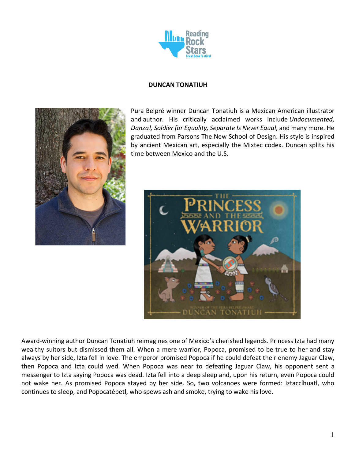

#### **DUNCAN TONATIUH**



Pura Belpré winner Duncan Tonatiuh is a Mexican American illustrator and author. His critically acclaimed works include *Undocumented, Danza!, Soldier for Equality, Separate Is Never Equal,* and many more. He graduated from Parsons The New School of Design. His style is inspired by ancient Mexican art, especially the Mixtec codex. Duncan splits his time between Mexico and the U.S.



Award-winning author Duncan Tonatiuh reimagines one of Mexico's cherished legends. Princess Izta had many wealthy suitors but dismissed them all. When a mere warrior, Popoca, promised to be true to her and stay always by her side, Izta fell in love. The emperor promised Popoca if he could defeat their enemy Jaguar Claw, then Popoca and Izta could wed. When Popoca was near to defeating Jaguar Claw, his opponent sent a messenger to Izta saying Popoca was dead. Izta fell into a deep sleep and, upon his return, even Popoca could not wake her. As promised Popoca stayed by her side. So, two volcanoes were formed: Iztaccíhuatl, who continues to sleep, and Popocatépetl, who spews ash and smoke, trying to wake his love.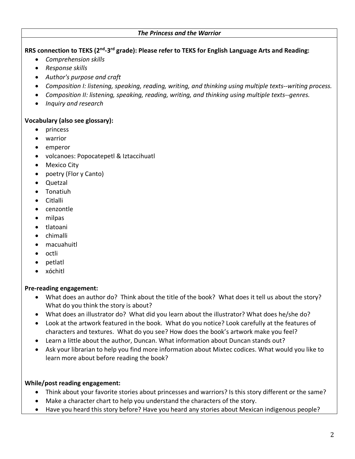### *The Princess and the Warrior*

**RRS connection to TEKS (2nd-3rd grade): Please refer to TEKS for English Language Arts and Reading:**

- *Comprehension skills*
- *Response skills*
- *Author's purpose and craft*
- *Composition I: listening, speaking, reading, writing, and thinking using multiple texts--writing process.*
- *Composition II: listening, speaking, reading, writing, and thinking using multiple texts--genres.*
- *Inquiry and research*

## **Vocabulary (also see glossary):**

- princess
- warrior
- emperor
- volcanoes: Popocatepetl & Iztaccihuatl
- Mexico City
- poetry (Flor y Canto)
- Quetzal
- Tonatiuh
- Citlalli
- cenzontle
- milpas
- tlatoani
- chimalli
- macuahuitl
- octli
- petlatl
- xóchitl

## **Pre-reading engagement:**

- What does an author do? Think about the title of the book? What does it tell us about the story? What do you think the story is about?
- What does an illustrator do? What did you learn about the illustrator? What does he/she do?
- Look at the artwork featured in the book. What do you notice? Look carefully at the features of characters and textures. What do you see? How does the book's artwork make you feel?
- Learn a little about the author, Duncan. What information about Duncan stands out?
- Ask your librarian to help you find more information about Mixtec codices. What would you like to learn more about before reading the book?

# **While/post reading engagement:**

- Think about your favorite stories about princesses and warriors? Is this story different or the same?
- Make a character chart to help you understand the characters of the story.
- Have you heard this story before? Have you heard any stories about Mexican indigenous people?